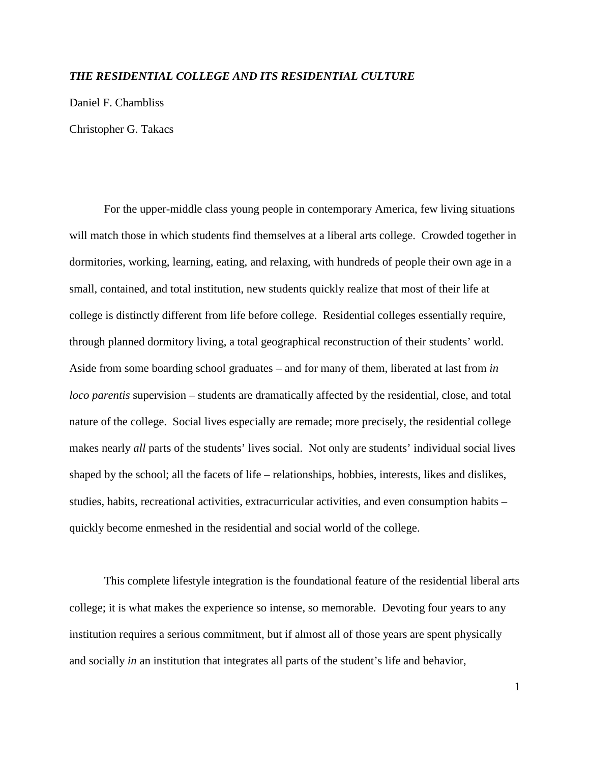## *THE RESIDENTIAL COLLEGE AND ITS RESIDENTIAL CULTURE*

Daniel F. Chambliss

Christopher G. Takacs

 For the upper-middle class young people in contemporary America, few living situations will match those in which students find themselves at a liberal arts college. Crowded together in dormitories, working, learning, eating, and relaxing, with hundreds of people their own age in a small, contained, and total institution, new students quickly realize that most of their life at college is distinctly different from life before college. Residential colleges essentially require, through planned dormitory living, a total geographical reconstruction of their students' world. Aside from some boarding school graduates – and for many of them, liberated at last from *in loco parentis* supervision – students are dramatically affected by the residential, close, and total nature of the college. Social lives especially are remade; more precisely, the residential college makes nearly *all* parts of the students' lives social. Not only are students' individual social lives shaped by the school; all the facets of life – relationships, hobbies, interests, likes and dislikes, studies, habits, recreational activities, extracurricular activities, and even consumption habits – quickly become enmeshed in the residential and social world of the college.

 This complete lifestyle integration is the foundational feature of the residential liberal arts college; it is what makes the experience so intense, so memorable. Devoting four years to any institution requires a serious commitment, but if almost all of those years are spent physically and socially *in* an institution that integrates all parts of the student's life and behavior,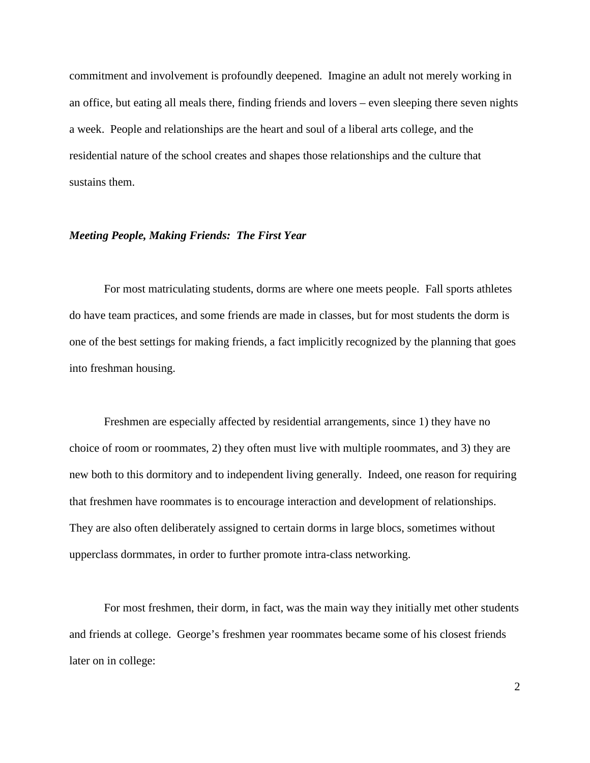commitment and involvement is profoundly deepened. Imagine an adult not merely working in an office, but eating all meals there, finding friends and lovers – even sleeping there seven nights a week. People and relationships are the heart and soul of a liberal arts college, and the residential nature of the school creates and shapes those relationships and the culture that sustains them.

#### *Meeting People, Making Friends: The First Year*

 For most matriculating students, dorms are where one meets people. Fall sports athletes do have team practices, and some friends are made in classes, but for most students the dorm is one of the best settings for making friends, a fact implicitly recognized by the planning that goes into freshman housing.

 Freshmen are especially affected by residential arrangements, since 1) they have no choice of room or roommates, 2) they often must live with multiple roommates, and 3) they are new both to this dormitory and to independent living generally. Indeed, one reason for requiring that freshmen have roommates is to encourage interaction and development of relationships. They are also often deliberately assigned to certain dorms in large blocs, sometimes without upperclass dormmates, in order to further promote intra-class networking.

For most freshmen, their dorm, in fact, was the main way they initially met other students and friends at college. George's freshmen year roommates became some of his closest friends later on in college: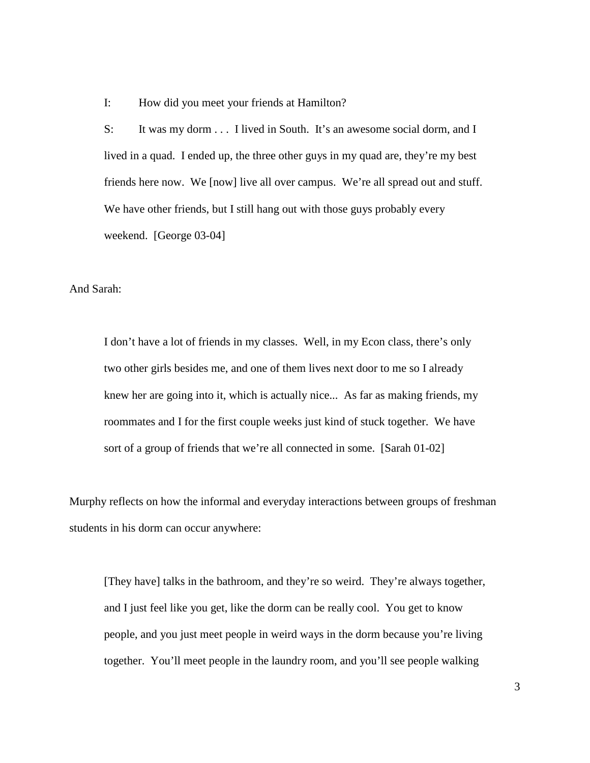I: How did you meet your friends at Hamilton?

S: It was my dorm . . . I lived in South. It's an awesome social dorm, and I lived in a quad. I ended up, the three other guys in my quad are, they're my best friends here now. We [now] live all over campus. We're all spread out and stuff. We have other friends, but I still hang out with those guys probably every weekend. [George 03-04]

And Sarah:

I don't have a lot of friends in my classes. Well, in my Econ class, there's only two other girls besides me, and one of them lives next door to me so I already knew her are going into it, which is actually nice... As far as making friends, my roommates and I for the first couple weeks just kind of stuck together. We have sort of a group of friends that we're all connected in some. [Sarah 01-02]

Murphy reflects on how the informal and everyday interactions between groups of freshman students in his dorm can occur anywhere:

[They have] talks in the bathroom, and they're so weird. They're always together, and I just feel like you get, like the dorm can be really cool. You get to know people, and you just meet people in weird ways in the dorm because you're living together. You'll meet people in the laundry room, and you'll see people walking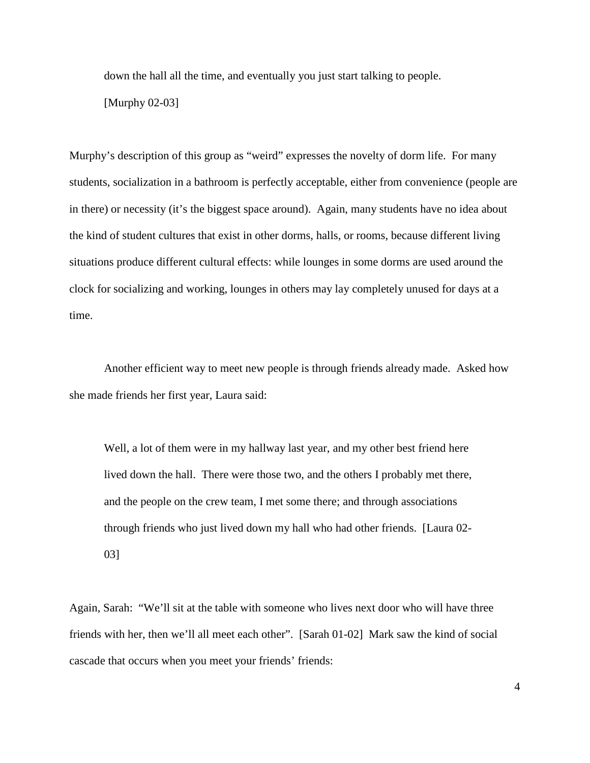down the hall all the time, and eventually you just start talking to people.

[Murphy 02-03]

Murphy's description of this group as "weird" expresses the novelty of dorm life. For many students, socialization in a bathroom is perfectly acceptable, either from convenience (people are in there) or necessity (it's the biggest space around). Again, many students have no idea about the kind of student cultures that exist in other dorms, halls, or rooms, because different living situations produce different cultural effects: while lounges in some dorms are used around the clock for socializing and working, lounges in others may lay completely unused for days at a time.

Another efficient way to meet new people is through friends already made. Asked how she made friends her first year, Laura said:

Well, a lot of them were in my hallway last year, and my other best friend here lived down the hall. There were those two, and the others I probably met there, and the people on the crew team, I met some there; and through associations through friends who just lived down my hall who had other friends. [Laura 02- 03]

Again, Sarah: "We'll sit at the table with someone who lives next door who will have three friends with her, then we'll all meet each other". [Sarah 01-02] Mark saw the kind of social cascade that occurs when you meet your friends' friends: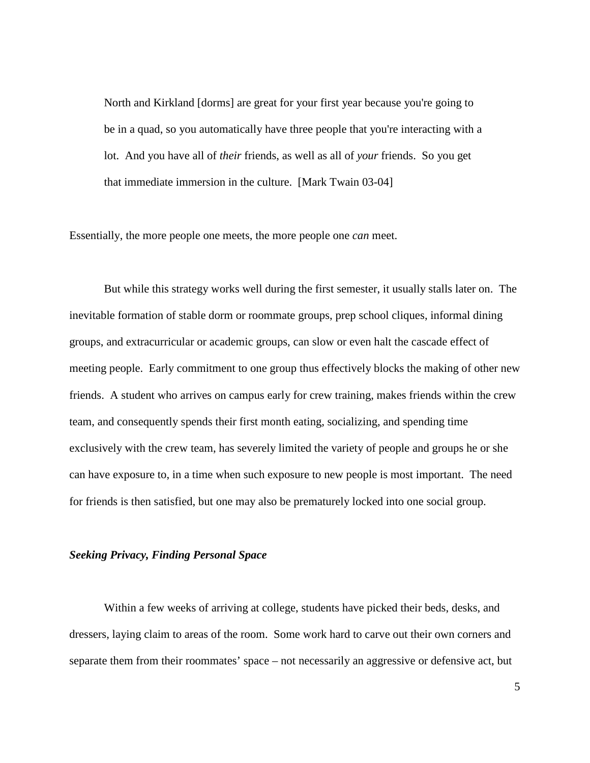North and Kirkland [dorms] are great for your first year because you're going to be in a quad, so you automatically have three people that you're interacting with a lot. And you have all of *their* friends, as well as all of *your* friends. So you get that immediate immersion in the culture. [Mark Twain 03-04]

Essentially, the more people one meets, the more people one *can* meet.

But while this strategy works well during the first semester, it usually stalls later on. The inevitable formation of stable dorm or roommate groups, prep school cliques, informal dining groups, and extracurricular or academic groups, can slow or even halt the cascade effect of meeting people. Early commitment to one group thus effectively blocks the making of other new friends. A student who arrives on campus early for crew training, makes friends within the crew team, and consequently spends their first month eating, socializing, and spending time exclusively with the crew team, has severely limited the variety of people and groups he or she can have exposure to, in a time when such exposure to new people is most important. The need for friends is then satisfied, but one may also be prematurely locked into one social group.

## *Seeking Privacy, Finding Personal Space*

 Within a few weeks of arriving at college, students have picked their beds, desks, and dressers, laying claim to areas of the room. Some work hard to carve out their own corners and separate them from their roommates' space – not necessarily an aggressive or defensive act, but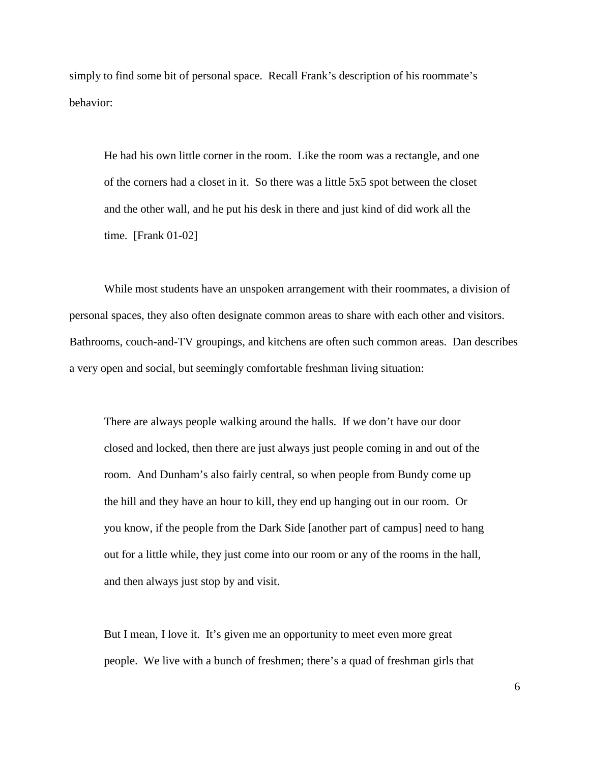simply to find some bit of personal space. Recall Frank's description of his roommate's behavior:

He had his own little corner in the room. Like the room was a rectangle, and one of the corners had a closet in it. So there was a little 5x5 spot between the closet and the other wall, and he put his desk in there and just kind of did work all the time. [Frank 01-02]

While most students have an unspoken arrangement with their roommates, a division of personal spaces, they also often designate common areas to share with each other and visitors. Bathrooms, couch-and-TV groupings, and kitchens are often such common areas. Dan describes a very open and social, but seemingly comfortable freshman living situation:

There are always people walking around the halls. If we don't have our door closed and locked, then there are just always just people coming in and out of the room. And Dunham's also fairly central, so when people from Bundy come up the hill and they have an hour to kill, they end up hanging out in our room. Or you know, if the people from the Dark Side [another part of campus] need to hang out for a little while, they just come into our room or any of the rooms in the hall, and then always just stop by and visit.

But I mean, I love it. It's given me an opportunity to meet even more great people. We live with a bunch of freshmen; there's a quad of freshman girls that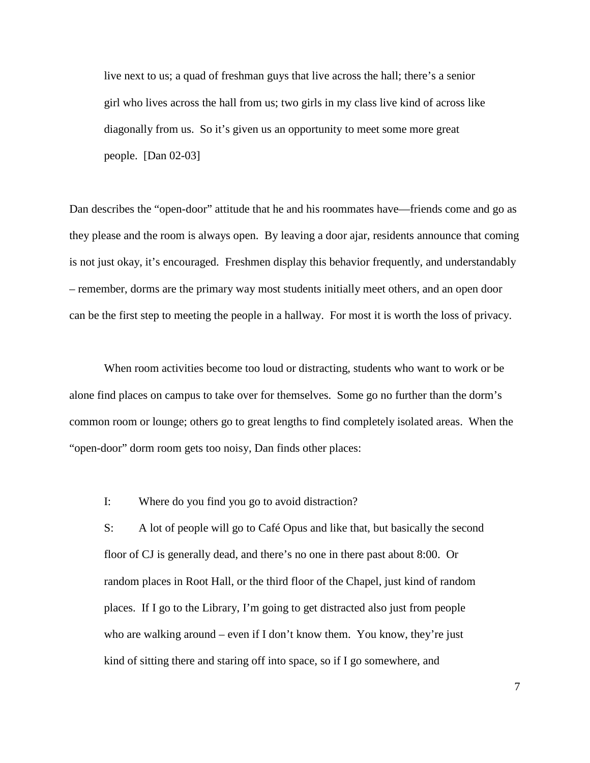live next to us; a quad of freshman guys that live across the hall; there's a senior girl who lives across the hall from us; two girls in my class live kind of across like diagonally from us. So it's given us an opportunity to meet some more great people. [Dan 02-03]

Dan describes the "open-door" attitude that he and his roommates have—friends come and go as they please and the room is always open. By leaving a door ajar, residents announce that coming is not just okay, it's encouraged. Freshmen display this behavior frequently, and understandably – remember, dorms are the primary way most students initially meet others, and an open door can be the first step to meeting the people in a hallway. For most it is worth the loss of privacy.

When room activities become too loud or distracting, students who want to work or be alone find places on campus to take over for themselves. Some go no further than the dorm's common room or lounge; others go to great lengths to find completely isolated areas. When the "open-door" dorm room gets too noisy, Dan finds other places:

I: Where do you find you go to avoid distraction?

S: A lot of people will go to Café Opus and like that, but basically the second floor of CJ is generally dead, and there's no one in there past about 8:00. Or random places in Root Hall, or the third floor of the Chapel, just kind of random places. If I go to the Library, I'm going to get distracted also just from people who are walking around – even if I don't know them. You know, they're just kind of sitting there and staring off into space, so if I go somewhere, and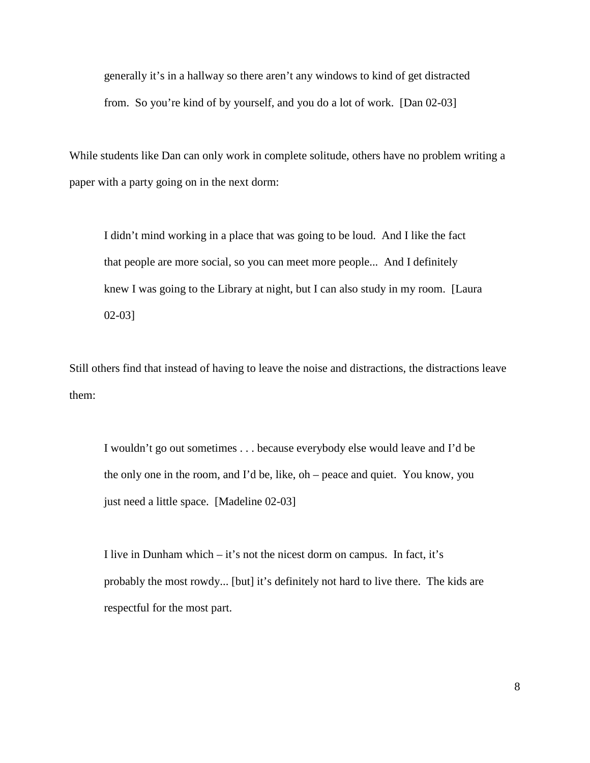generally it's in a hallway so there aren't any windows to kind of get distracted from. So you're kind of by yourself, and you do a lot of work. [Dan 02-03]

While students like Dan can only work in complete solitude, others have no problem writing a paper with a party going on in the next dorm:

I didn't mind working in a place that was going to be loud. And I like the fact that people are more social, so you can meet more people... And I definitely knew I was going to the Library at night, but I can also study in my room. [Laura 02-03]

Still others find that instead of having to leave the noise and distractions, the distractions leave them:

I wouldn't go out sometimes . . . because everybody else would leave and I'd be the only one in the room, and I'd be, like, oh – peace and quiet. You know, you just need a little space. [Madeline 02-03]

I live in Dunham which – it's not the nicest dorm on campus. In fact, it's probably the most rowdy... [but] it's definitely not hard to live there. The kids are respectful for the most part.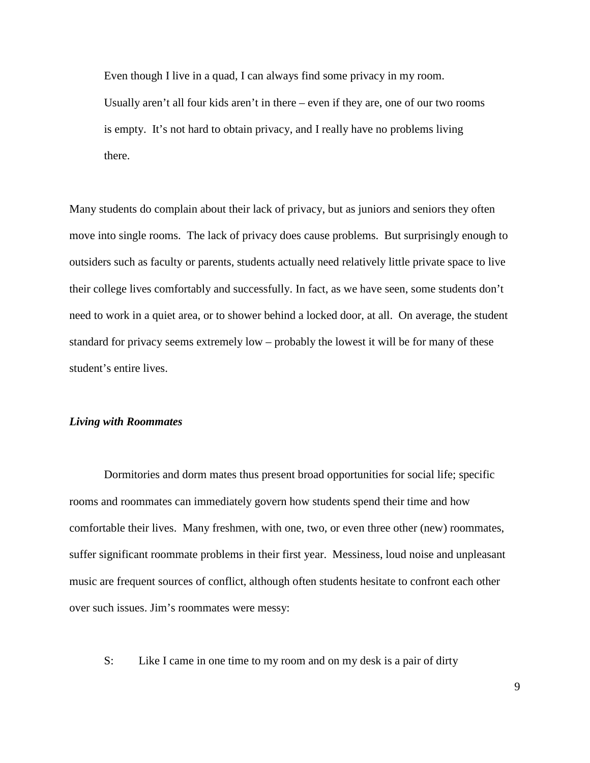Even though I live in a quad, I can always find some privacy in my room. Usually aren't all four kids aren't in there – even if they are, one of our two rooms is empty. It's not hard to obtain privacy, and I really have no problems living there.

Many students do complain about their lack of privacy, but as juniors and seniors they often move into single rooms. The lack of privacy does cause problems. But surprisingly enough to outsiders such as faculty or parents, students actually need relatively little private space to live their college lives comfortably and successfully. In fact, as we have seen, some students don't need to work in a quiet area, or to shower behind a locked door, at all. On average, the student standard for privacy seems extremely low – probably the lowest it will be for many of these student's entire lives.

#### *Living with Roommates*

Dormitories and dorm mates thus present broad opportunities for social life; specific rooms and roommates can immediately govern how students spend their time and how comfortable their lives. Many freshmen, with one, two, or even three other (new) roommates, suffer significant roommate problems in their first year. Messiness, loud noise and unpleasant music are frequent sources of conflict, although often students hesitate to confront each other over such issues. Jim's roommates were messy:

S: Like I came in one time to my room and on my desk is a pair of dirty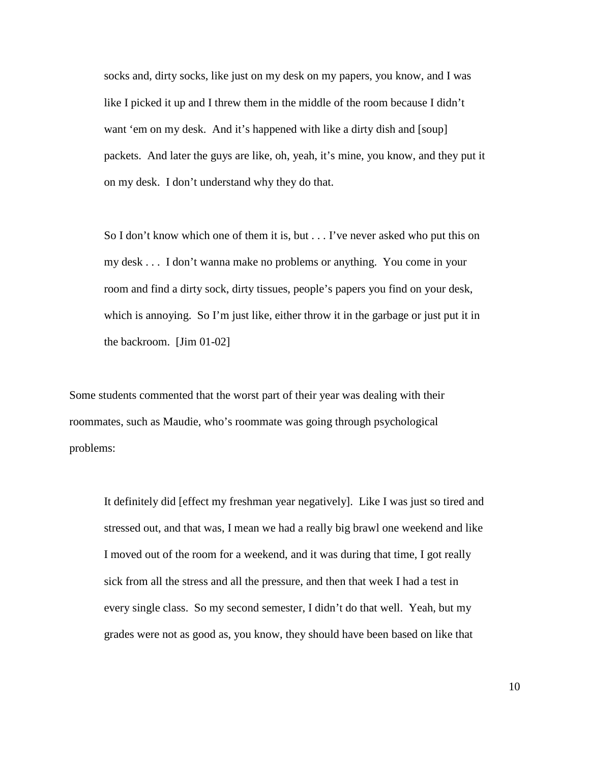socks and, dirty socks, like just on my desk on my papers, you know, and I was like I picked it up and I threw them in the middle of the room because I didn't want 'em on my desk. And it's happened with like a dirty dish and [soup] packets. And later the guys are like, oh, yeah, it's mine, you know, and they put it on my desk. I don't understand why they do that.

So I don't know which one of them it is, but . . . I've never asked who put this on my desk . . . I don't wanna make no problems or anything. You come in your room and find a dirty sock, dirty tissues, people's papers you find on your desk, which is annoying. So I'm just like, either throw it in the garbage or just put it in the backroom. [Jim 01-02]

Some students commented that the worst part of their year was dealing with their roommates, such as Maudie, who's roommate was going through psychological problems:

It definitely did [effect my freshman year negatively]. Like I was just so tired and stressed out, and that was, I mean we had a really big brawl one weekend and like I moved out of the room for a weekend, and it was during that time, I got really sick from all the stress and all the pressure, and then that week I had a test in every single class. So my second semester, I didn't do that well. Yeah, but my grades were not as good as, you know, they should have been based on like that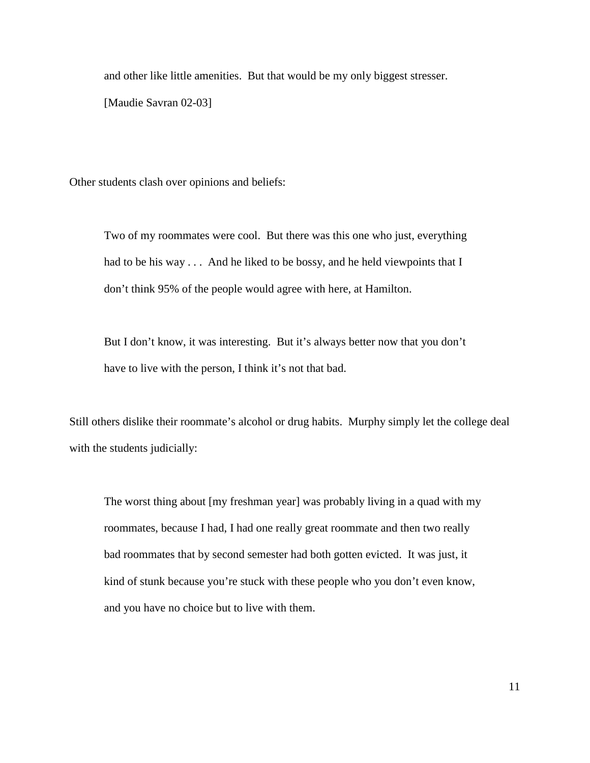and other like little amenities. But that would be my only biggest stresser.

[Maudie Savran 02-03]

Other students clash over opinions and beliefs:

Two of my roommates were cool. But there was this one who just, everything had to be his way . . . And he liked to be bossy, and he held viewpoints that I don't think 95% of the people would agree with here, at Hamilton.

But I don't know, it was interesting. But it's always better now that you don't have to live with the person, I think it's not that bad.

Still others dislike their roommate's alcohol or drug habits. Murphy simply let the college deal with the students judicially:

The worst thing about [my freshman year] was probably living in a quad with my roommates, because I had, I had one really great roommate and then two really bad roommates that by second semester had both gotten evicted. It was just, it kind of stunk because you're stuck with these people who you don't even know, and you have no choice but to live with them.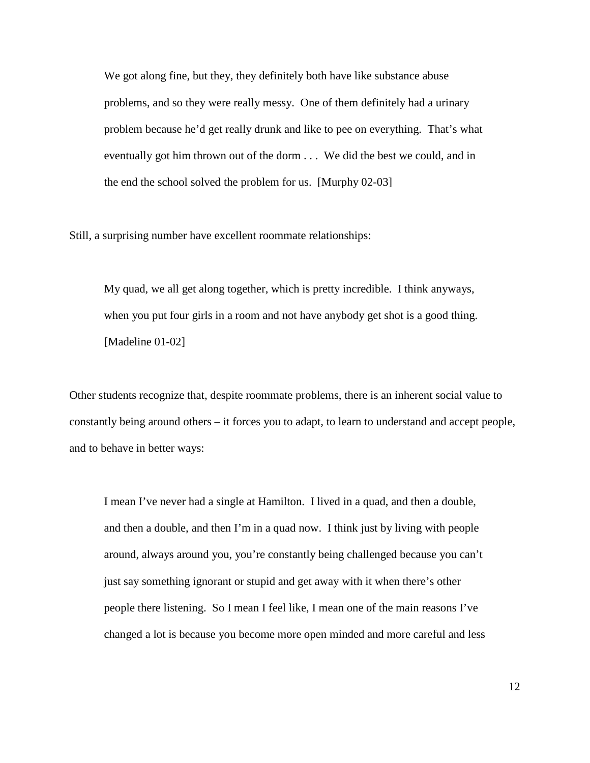We got along fine, but they, they definitely both have like substance abuse problems, and so they were really messy. One of them definitely had a urinary problem because he'd get really drunk and like to pee on everything. That's what eventually got him thrown out of the dorm . . . We did the best we could, and in the end the school solved the problem for us. [Murphy 02-03]

Still, a surprising number have excellent roommate relationships:

My quad, we all get along together, which is pretty incredible. I think anyways, when you put four girls in a room and not have anybody get shot is a good thing. [Madeline 01-02]

Other students recognize that, despite roommate problems, there is an inherent social value to constantly being around others – it forces you to adapt, to learn to understand and accept people, and to behave in better ways:

I mean I've never had a single at Hamilton. I lived in a quad, and then a double, and then a double, and then I'm in a quad now. I think just by living with people around, always around you, you're constantly being challenged because you can't just say something ignorant or stupid and get away with it when there's other people there listening. So I mean I feel like, I mean one of the main reasons I've changed a lot is because you become more open minded and more careful and less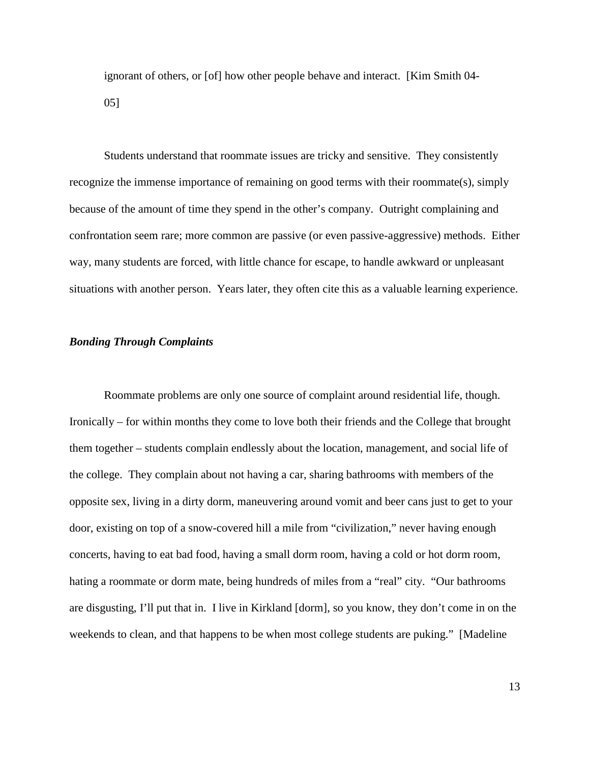ignorant of others, or [of] how other people behave and interact. [Kim Smith 04- 05]

Students understand that roommate issues are tricky and sensitive. They consistently recognize the immense importance of remaining on good terms with their roommate(s), simply because of the amount of time they spend in the other's company. Outright complaining and confrontation seem rare; more common are passive (or even passive-aggressive) methods. Either way, many students are forced, with little chance for escape, to handle awkward or unpleasant situations with another person. Years later, they often cite this as a valuable learning experience.

# *Bonding Through Complaints*

 Roommate problems are only one source of complaint around residential life, though. Ironically – for within months they come to love both their friends and the College that brought them together – students complain endlessly about the location, management, and social life of the college. They complain about not having a car, sharing bathrooms with members of the opposite sex, living in a dirty dorm, maneuvering around vomit and beer cans just to get to your door, existing on top of a snow-covered hill a mile from "civilization," never having enough concerts, having to eat bad food, having a small dorm room, having a cold or hot dorm room, hating a roommate or dorm mate, being hundreds of miles from a "real" city. "Our bathrooms are disgusting, I'll put that in. I live in Kirkland [dorm], so you know, they don't come in on the weekends to clean, and that happens to be when most college students are puking." [Madeline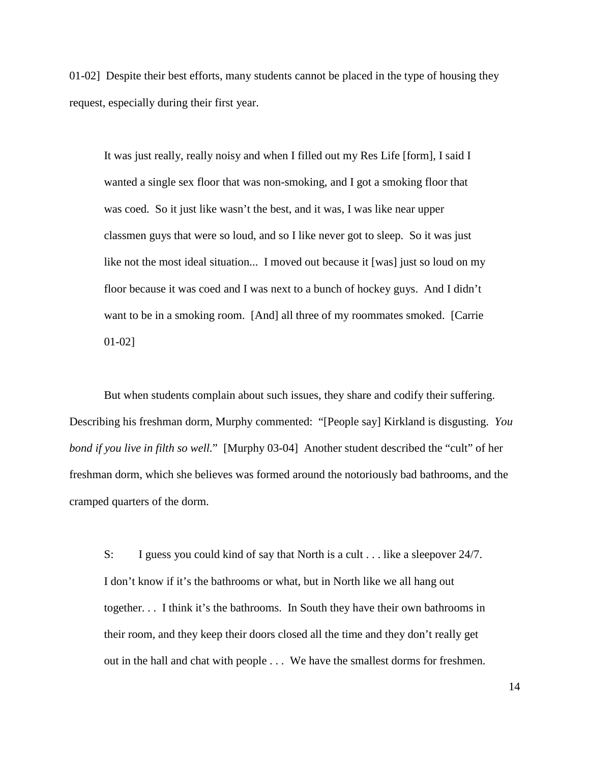01-02] Despite their best efforts, many students cannot be placed in the type of housing they request, especially during their first year.

It was just really, really noisy and when I filled out my Res Life [form], I said I wanted a single sex floor that was non-smoking, and I got a smoking floor that was coed. So it just like wasn't the best, and it was, I was like near upper classmen guys that were so loud, and so I like never got to sleep. So it was just like not the most ideal situation... I moved out because it [was] just so loud on my floor because it was coed and I was next to a bunch of hockey guys. And I didn't want to be in a smoking room. [And] all three of my roommates smoked. [Carrie 01-02]

But when students complain about such issues, they share and codify their suffering. Describing his freshman dorm, Murphy commented: "[People say] Kirkland is disgusting. *You bond if you live in filth so well.*" [Murphy 03-04] Another student described the "cult" of her freshman dorm, which she believes was formed around the notoriously bad bathrooms, and the cramped quarters of the dorm.

S: I guess you could kind of say that North is a cult . . . like a sleepover 24/7. I don't know if it's the bathrooms or what, but in North like we all hang out together. . . I think it's the bathrooms. In South they have their own bathrooms in their room, and they keep their doors closed all the time and they don't really get out in the hall and chat with people . . . We have the smallest dorms for freshmen.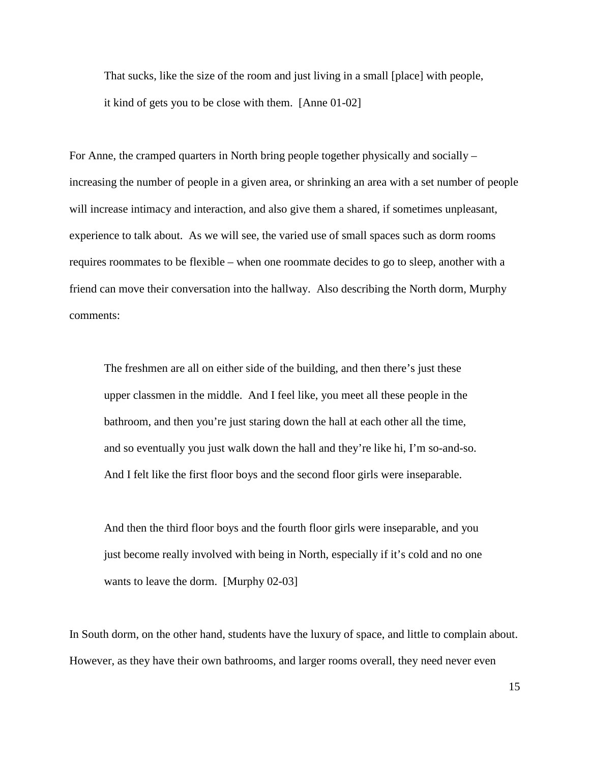That sucks, like the size of the room and just living in a small [place] with people, it kind of gets you to be close with them. [Anne 01-02]

For Anne, the cramped quarters in North bring people together physically and socially – increasing the number of people in a given area, or shrinking an area with a set number of people will increase intimacy and interaction, and also give them a shared, if sometimes unpleasant, experience to talk about. As we will see, the varied use of small spaces such as dorm rooms requires roommates to be flexible – when one roommate decides to go to sleep, another with a friend can move their conversation into the hallway. Also describing the North dorm, Murphy comments:

The freshmen are all on either side of the building, and then there's just these upper classmen in the middle. And I feel like, you meet all these people in the bathroom, and then you're just staring down the hall at each other all the time, and so eventually you just walk down the hall and they're like hi, I'm so-and-so. And I felt like the first floor boys and the second floor girls were inseparable.

And then the third floor boys and the fourth floor girls were inseparable, and you just become really involved with being in North, especially if it's cold and no one wants to leave the dorm. [Murphy 02-03]

In South dorm, on the other hand, students have the luxury of space, and little to complain about. However, as they have their own bathrooms, and larger rooms overall, they need never even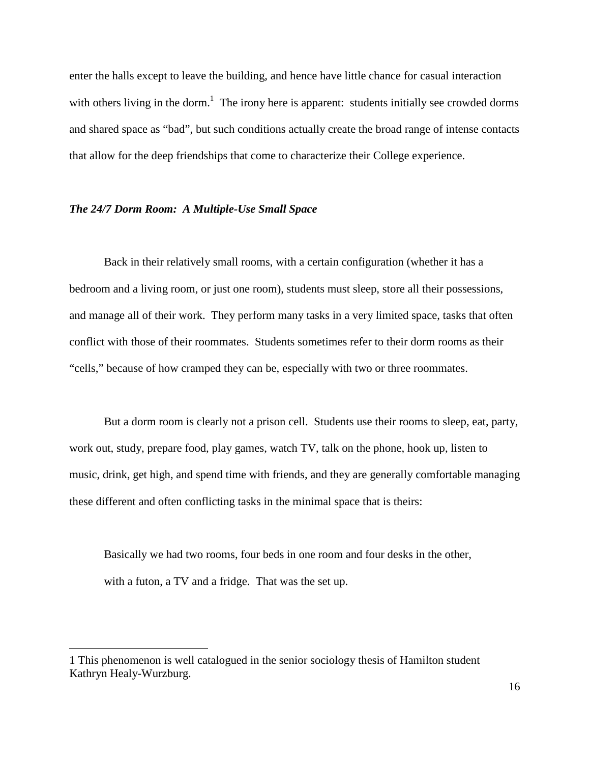enter the halls except to leave the building, and hence have little chance for casual interaction with others living in the dorm.<sup>1</sup> The irony here is apparent: students initially see crowded dorms and shared space as "bad", but such conditions actually create the broad range of intense contacts that allow for the deep friendships that come to characterize their College experience.

### *The 24/7 Dorm Room: A Multiple-Use Small Space*

 Back in their relatively small rooms, with a certain configuration (whether it has a bedroom and a living room, or just one room), students must sleep, store all their possessions, and manage all of their work. They perform many tasks in a very limited space, tasks that often conflict with those of their roommates. Students sometimes refer to their dorm rooms as their "cells," because of how cramped they can be, especially with two or three roommates.

But a dorm room is clearly not a prison cell. Students use their rooms to sleep, eat, party, work out, study, prepare food, play games, watch TV, talk on the phone, hook up, listen to music, drink, get high, and spend time with friends, and they are generally comfortable managing these different and often conflicting tasks in the minimal space that is theirs:

Basically we had two rooms, four beds in one room and four desks in the other, with a futon, a TV and a fridge. That was the set up.

 $\overline{a}$ 

<sup>1</sup> This phenomenon is well catalogued in the senior sociology thesis of Hamilton student Kathryn Healy-Wurzburg.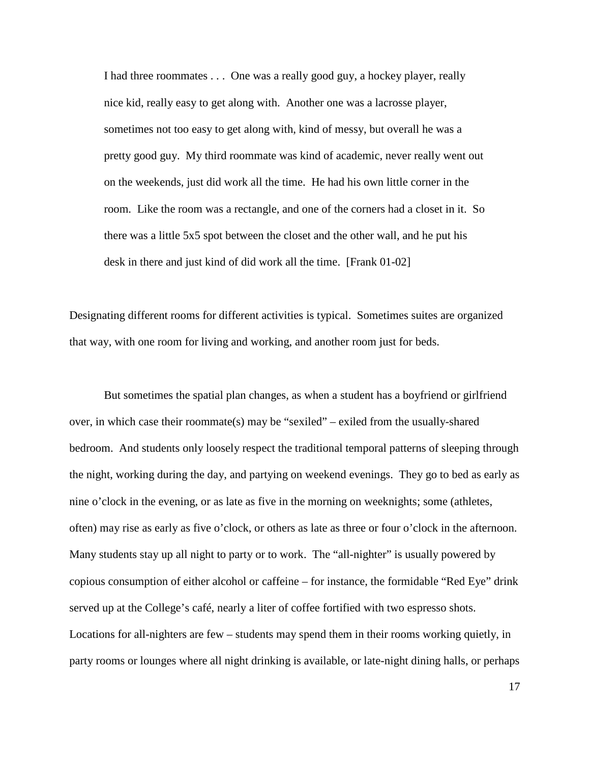I had three roommates . . . One was a really good guy, a hockey player, really nice kid, really easy to get along with. Another one was a lacrosse player, sometimes not too easy to get along with, kind of messy, but overall he was a pretty good guy. My third roommate was kind of academic, never really went out on the weekends, just did work all the time. He had his own little corner in the room. Like the room was a rectangle, and one of the corners had a closet in it. So there was a little 5x5 spot between the closet and the other wall, and he put his desk in there and just kind of did work all the time. [Frank 01-02]

Designating different rooms for different activities is typical. Sometimes suites are organized that way, with one room for living and working, and another room just for beds.

But sometimes the spatial plan changes, as when a student has a boyfriend or girlfriend over, in which case their roommate(s) may be "sexiled" – exiled from the usually-shared bedroom. And students only loosely respect the traditional temporal patterns of sleeping through the night, working during the day, and partying on weekend evenings. They go to bed as early as nine o'clock in the evening, or as late as five in the morning on weeknights; some (athletes, often) may rise as early as five o'clock, or others as late as three or four o'clock in the afternoon. Many students stay up all night to party or to work. The "all-nighter" is usually powered by copious consumption of either alcohol or caffeine – for instance, the formidable "Red Eye" drink served up at the College's café, nearly a liter of coffee fortified with two espresso shots. Locations for all-nighters are few – students may spend them in their rooms working quietly, in party rooms or lounges where all night drinking is available, or late-night dining halls, or perhaps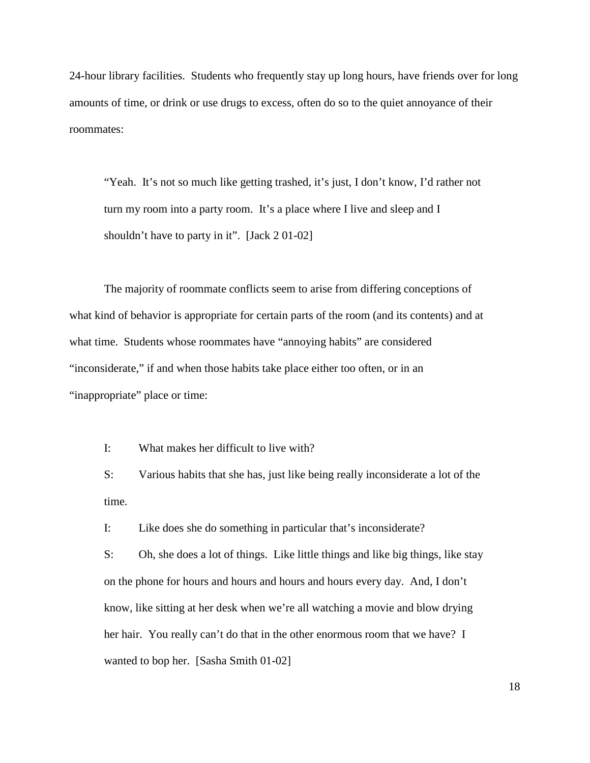24-hour library facilities. Students who frequently stay up long hours, have friends over for long amounts of time, or drink or use drugs to excess, often do so to the quiet annoyance of their roommates:

"Yeah. It's not so much like getting trashed, it's just, I don't know, I'd rather not turn my room into a party room. It's a place where I live and sleep and I shouldn't have to party in it". [Jack 2 01-02]

The majority of roommate conflicts seem to arise from differing conceptions of what kind of behavior is appropriate for certain parts of the room (and its contents) and at what time. Students whose roommates have "annoying habits" are considered "inconsiderate," if and when those habits take place either too often, or in an "inappropriate" place or time:

I: What makes her difficult to live with?

S: Various habits that she has, just like being really inconsiderate a lot of the time.

I: Like does she do something in particular that's inconsiderate?

S: Oh, she does a lot of things. Like little things and like big things, like stay on the phone for hours and hours and hours and hours every day. And, I don't know, like sitting at her desk when we're all watching a movie and blow drying her hair. You really can't do that in the other enormous room that we have? I wanted to bop her. [Sasha Smith 01-02]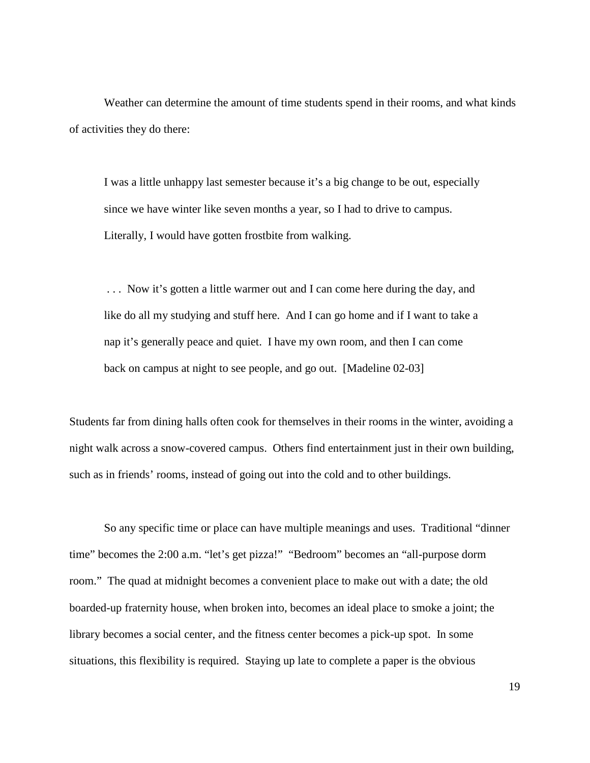Weather can determine the amount of time students spend in their rooms, and what kinds of activities they do there:

I was a little unhappy last semester because it's a big change to be out, especially since we have winter like seven months a year, so I had to drive to campus. Literally, I would have gotten frostbite from walking.

 . . . Now it's gotten a little warmer out and I can come here during the day, and like do all my studying and stuff here. And I can go home and if I want to take a nap it's generally peace and quiet. I have my own room, and then I can come back on campus at night to see people, and go out. [Madeline 02-03]

Students far from dining halls often cook for themselves in their rooms in the winter, avoiding a night walk across a snow-covered campus. Others find entertainment just in their own building, such as in friends' rooms, instead of going out into the cold and to other buildings.

 So any specific time or place can have multiple meanings and uses. Traditional "dinner time" becomes the 2:00 a.m. "let's get pizza!" "Bedroom" becomes an "all-purpose dorm room." The quad at midnight becomes a convenient place to make out with a date; the old boarded-up fraternity house, when broken into, becomes an ideal place to smoke a joint; the library becomes a social center, and the fitness center becomes a pick-up spot. In some situations, this flexibility is required. Staying up late to complete a paper is the obvious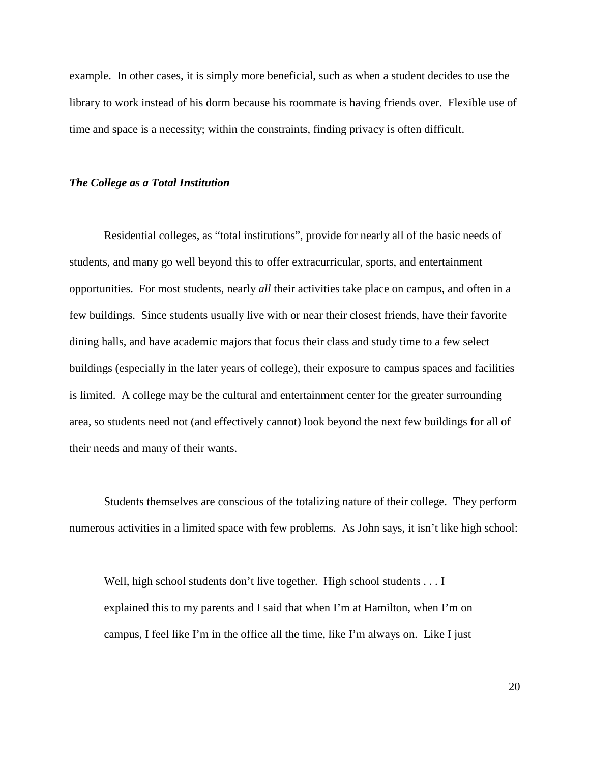example. In other cases, it is simply more beneficial, such as when a student decides to use the library to work instead of his dorm because his roommate is having friends over. Flexible use of time and space is a necessity; within the constraints, finding privacy is often difficult.

#### *The College as a Total Institution*

Residential colleges, as "total institutions", provide for nearly all of the basic needs of students, and many go well beyond this to offer extracurricular, sports, and entertainment opportunities. For most students, nearly *all* their activities take place on campus, and often in a few buildings. Since students usually live with or near their closest friends, have their favorite dining halls, and have academic majors that focus their class and study time to a few select buildings (especially in the later years of college), their exposure to campus spaces and facilities is limited. A college may be the cultural and entertainment center for the greater surrounding area, so students need not (and effectively cannot) look beyond the next few buildings for all of their needs and many of their wants.

Students themselves are conscious of the totalizing nature of their college. They perform numerous activities in a limited space with few problems. As John says, it isn't like high school:

Well, high school students don't live together. High school students . . . I explained this to my parents and I said that when I'm at Hamilton, when I'm on campus, I feel like I'm in the office all the time, like I'm always on. Like I just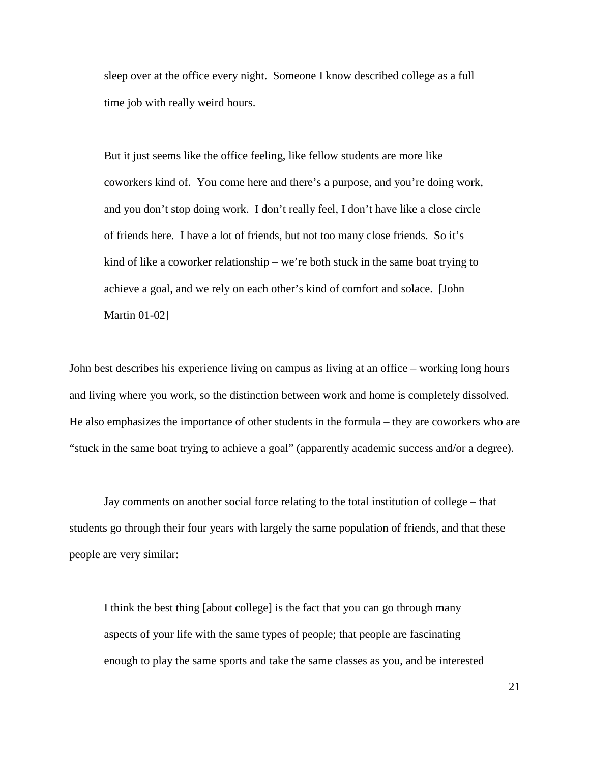sleep over at the office every night. Someone I know described college as a full time job with really weird hours.

But it just seems like the office feeling, like fellow students are more like coworkers kind of. You come here and there's a purpose, and you're doing work, and you don't stop doing work. I don't really feel, I don't have like a close circle of friends here. I have a lot of friends, but not too many close friends. So it's kind of like a coworker relationship – we're both stuck in the same boat trying to achieve a goal, and we rely on each other's kind of comfort and solace. [John Martin 01-02]

John best describes his experience living on campus as living at an office – working long hours and living where you work, so the distinction between work and home is completely dissolved. He also emphasizes the importance of other students in the formula – they are coworkers who are "stuck in the same boat trying to achieve a goal" (apparently academic success and/or a degree).

Jay comments on another social force relating to the total institution of college – that students go through their four years with largely the same population of friends, and that these people are very similar:

I think the best thing [about college] is the fact that you can go through many aspects of your life with the same types of people; that people are fascinating enough to play the same sports and take the same classes as you, and be interested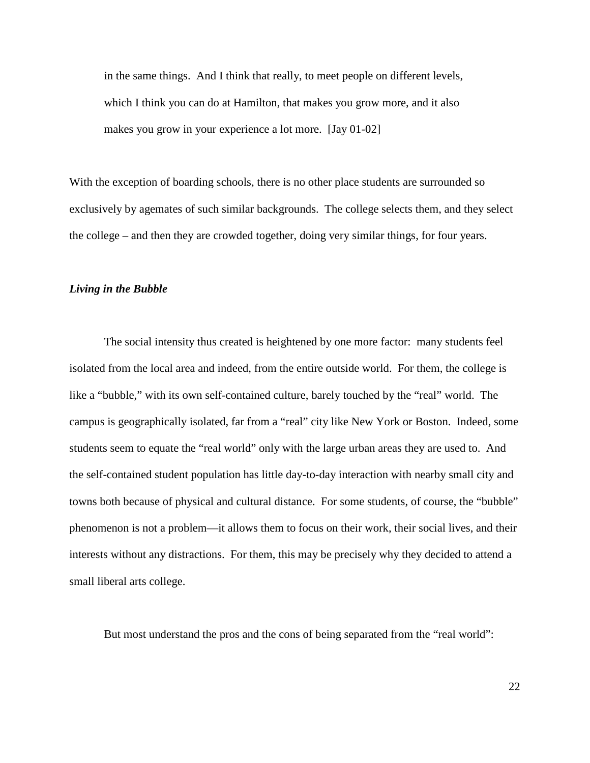in the same things. And I think that really, to meet people on different levels, which I think you can do at Hamilton, that makes you grow more, and it also makes you grow in your experience a lot more. [Jay 01-02]

With the exception of boarding schools, there is no other place students are surrounded so exclusively by agemates of such similar backgrounds. The college selects them, and they select the college – and then they are crowded together, doing very similar things, for four years.

## *Living in the Bubble*

 The social intensity thus created is heightened by one more factor: many students feel isolated from the local area and indeed, from the entire outside world. For them, the college is like a "bubble," with its own self-contained culture, barely touched by the "real" world. The campus is geographically isolated, far from a "real" city like New York or Boston. Indeed, some students seem to equate the "real world" only with the large urban areas they are used to. And the self-contained student population has little day-to-day interaction with nearby small city and towns both because of physical and cultural distance. For some students, of course, the "bubble" phenomenon is not a problem—it allows them to focus on their work, their social lives, and their interests without any distractions. For them, this may be precisely why they decided to attend a small liberal arts college.

But most understand the pros and the cons of being separated from the "real world":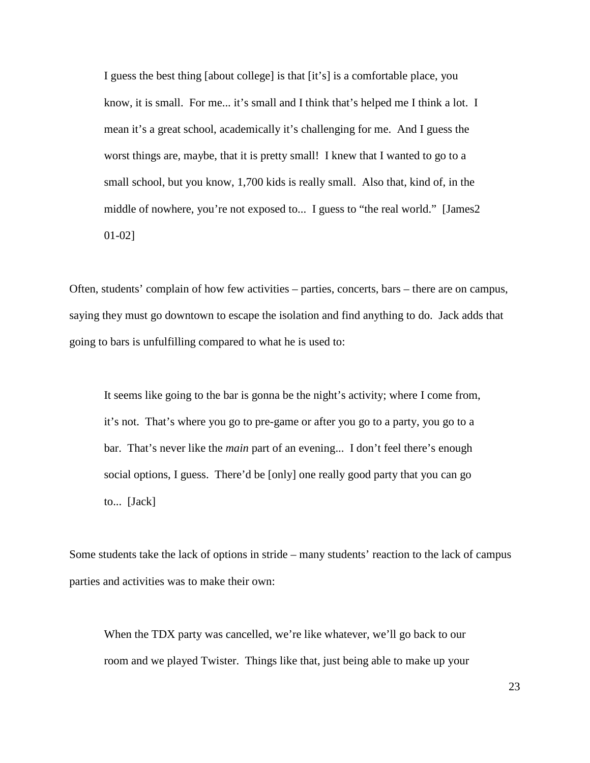I guess the best thing [about college] is that [it's] is a comfortable place, you know, it is small. For me... it's small and I think that's helped me I think a lot. I mean it's a great school, academically it's challenging for me. And I guess the worst things are, maybe, that it is pretty small! I knew that I wanted to go to a small school, but you know, 1,700 kids is really small. Also that, kind of, in the middle of nowhere, you're not exposed to... I guess to "the real world." [James2 01-02]

Often, students' complain of how few activities – parties, concerts, bars – there are on campus, saying they must go downtown to escape the isolation and find anything to do. Jack adds that going to bars is unfulfilling compared to what he is used to:

It seems like going to the bar is gonna be the night's activity; where I come from, it's not. That's where you go to pre-game or after you go to a party, you go to a bar. That's never like the *main* part of an evening... I don't feel there's enough social options, I guess. There'd be [only] one really good party that you can go to... [Jack]

Some students take the lack of options in stride – many students' reaction to the lack of campus parties and activities was to make their own:

When the TDX party was cancelled, we're like whatever, we'll go back to our room and we played Twister. Things like that, just being able to make up your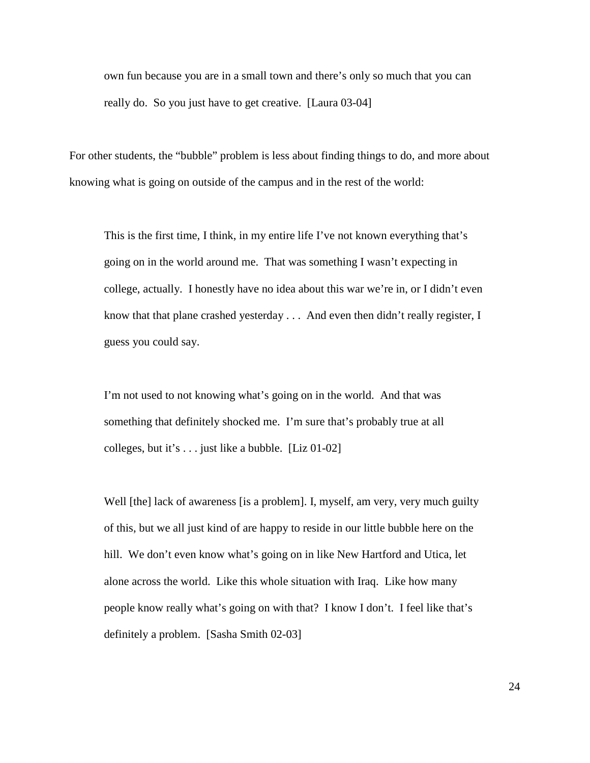own fun because you are in a small town and there's only so much that you can really do. So you just have to get creative. [Laura 03-04]

For other students, the "bubble" problem is less about finding things to do, and more about knowing what is going on outside of the campus and in the rest of the world:

This is the first time, I think, in my entire life I've not known everything that's going on in the world around me. That was something I wasn't expecting in college, actually. I honestly have no idea about this war we're in, or I didn't even know that that plane crashed yesterday . . . And even then didn't really register, I guess you could say.

I'm not used to not knowing what's going on in the world. And that was something that definitely shocked me. I'm sure that's probably true at all colleges, but it's . . . just like a bubble. [Liz 01-02]

Well [the] lack of awareness [is a problem]. I, myself, am very, very much guilty of this, but we all just kind of are happy to reside in our little bubble here on the hill. We don't even know what's going on in like New Hartford and Utica, let alone across the world. Like this whole situation with Iraq. Like how many people know really what's going on with that? I know I don't. I feel like that's definitely a problem. [Sasha Smith 02-03]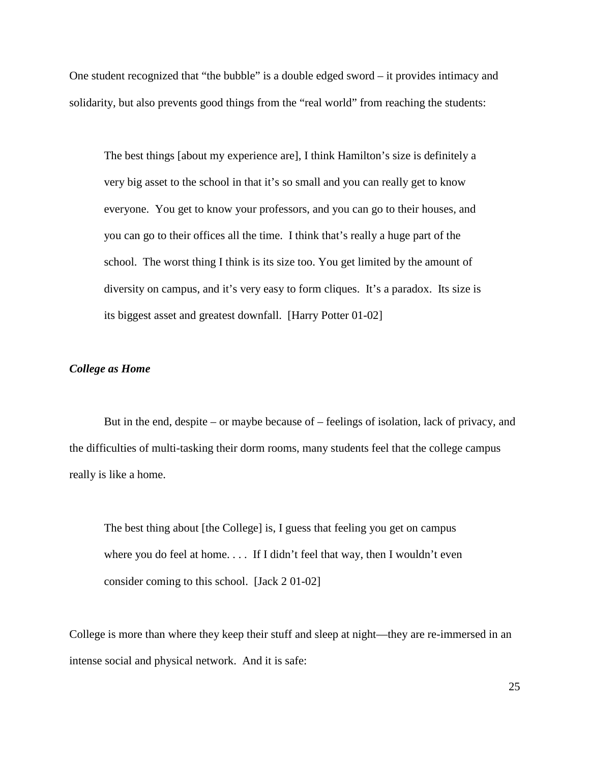One student recognized that "the bubble" is a double edged sword – it provides intimacy and solidarity, but also prevents good things from the "real world" from reaching the students:

The best things [about my experience are], I think Hamilton's size is definitely a very big asset to the school in that it's so small and you can really get to know everyone. You get to know your professors, and you can go to their houses, and you can go to their offices all the time. I think that's really a huge part of the school. The worst thing I think is its size too. You get limited by the amount of diversity on campus, and it's very easy to form cliques. It's a paradox. Its size is its biggest asset and greatest downfall. [Harry Potter 01-02]

# *College as Home*

 But in the end, despite – or maybe because of – feelings of isolation, lack of privacy, and the difficulties of multi-tasking their dorm rooms, many students feel that the college campus really is like a home.

The best thing about [the College] is, I guess that feeling you get on campus where you do feel at home.... If I didn't feel that way, then I wouldn't even consider coming to this school. [Jack 2 01-02]

College is more than where they keep their stuff and sleep at night—they are re-immersed in an intense social and physical network. And it is safe: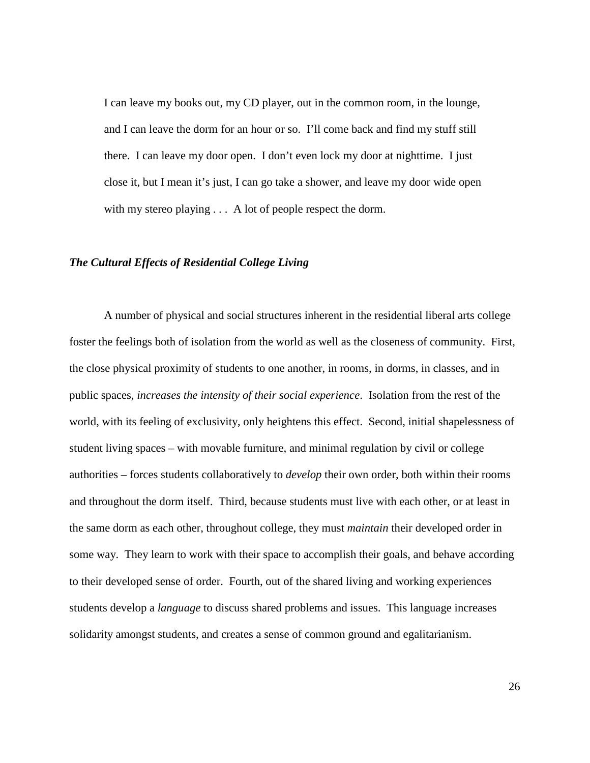I can leave my books out, my CD player, out in the common room, in the lounge, and I can leave the dorm for an hour or so. I'll come back and find my stuff still there. I can leave my door open. I don't even lock my door at nighttime. I just close it, but I mean it's just, I can go take a shower, and leave my door wide open with my stereo playing  $\dots$  A lot of people respect the dorm.

# *The Cultural Effects of Residential College Living*

 A number of physical and social structures inherent in the residential liberal arts college foster the feelings both of isolation from the world as well as the closeness of community. First, the close physical proximity of students to one another, in rooms, in dorms, in classes, and in public spaces, *increases the intensity of their social experience*. Isolation from the rest of the world, with its feeling of exclusivity, only heightens this effect. Second, initial shapelessness of student living spaces – with movable furniture, and minimal regulation by civil or college authorities – forces students collaboratively to *develop* their own order, both within their rooms and throughout the dorm itself. Third, because students must live with each other, or at least in the same dorm as each other, throughout college, they must *maintain* their developed order in some way. They learn to work with their space to accomplish their goals, and behave according to their developed sense of order. Fourth, out of the shared living and working experiences students develop a *language* to discuss shared problems and issues. This language increases solidarity amongst students, and creates a sense of common ground and egalitarianism.